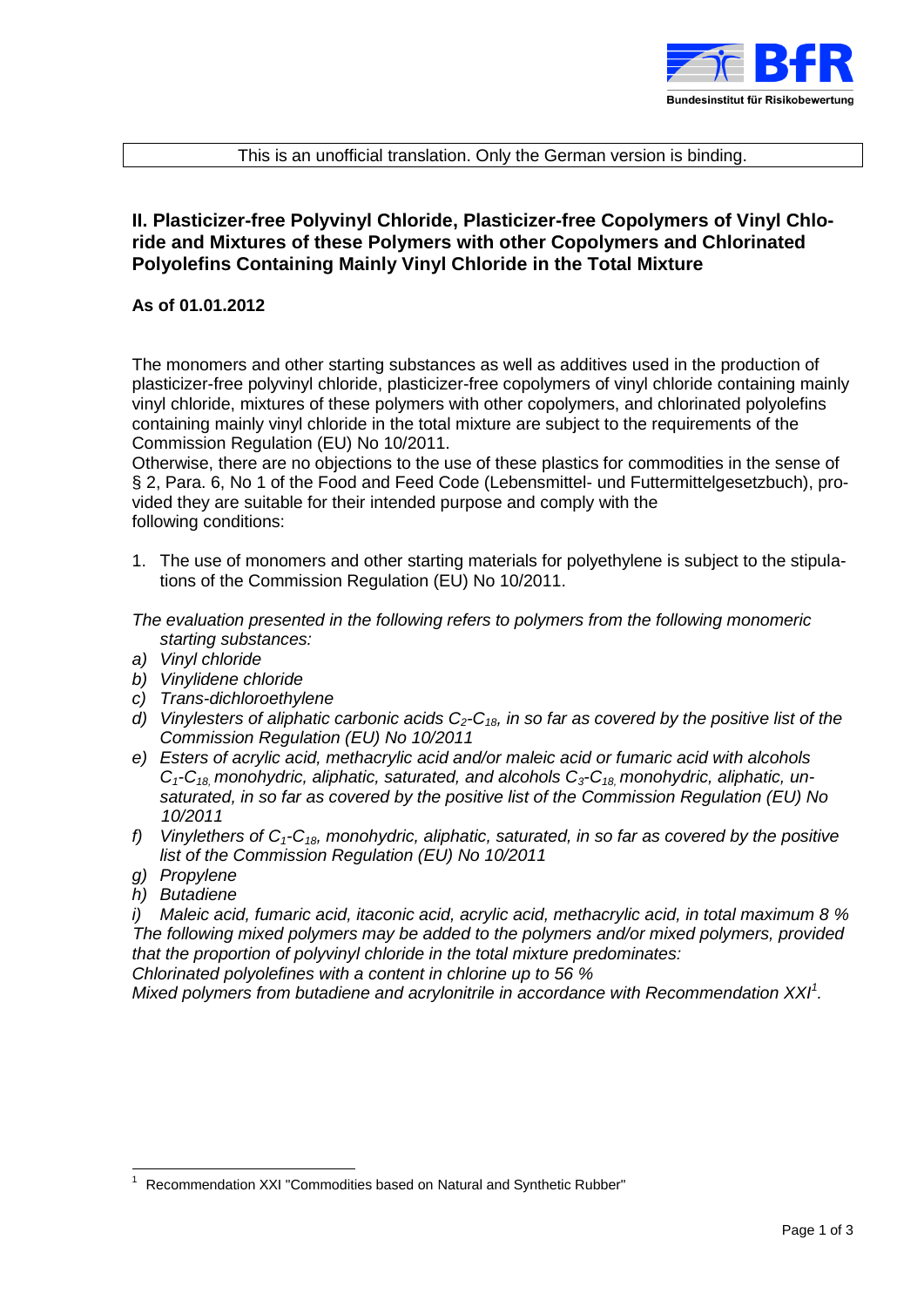

## This is an unofficial translation. Only the German version is binding.

## **II. Plasticizer-free Polyvinyl Chloride, Plasticizer-free Copolymers of Vinyl Chloride and Mixtures of these Polymers with other Copolymers and Chlorinated Polyolefins Containing Mainly Vinyl Chloride in the Total Mixture**

## **As of 01.01.2012**

The monomers and other starting substances as well as additives used in the production of plasticizer-free polyvinyl chloride, plasticizer-free copolymers of vinyl chloride containing mainly vinyl chloride, mixtures of these polymers with other copolymers, and chlorinated polyolefins containing mainly vinyl chloride in the total mixture are subject to the requirements of the Commission Regulation (EU) No 10/2011.

Otherwise, there are no objections to the use of these plastics for commodities in the sense of § 2, Para. 6, No 1 of the Food and Feed Code (Lebensmittel- und Futtermittelgesetzbuch), provided they are suitable for their intended purpose and comply with the following conditions:

1. The use of monomers and other starting materials for polyethylene is subject to the stipulations of the Commission Regulation (EU) No 10/2011.

*The evaluation presented in the following refers to polymers from the following monomeric starting substances:*

- *a) Vinyl chloride*
- *b) Vinylidene chloride*
- *c) Trans-dichloroethylene*
- *d) Vinylesters of aliphatic carbonic acids C2-C18, in so far as covered by the positive list of the Commission Regulation (EU) No 10/2011*
- *e) Esters of acrylic acid, methacrylic acid and/or maleic acid or fumaric acid with alcohols C1-C18, monohydric, aliphatic, saturated, and alcohols C3-C18, monohydric, aliphatic, unsaturated, in so far as covered by the positive list of the Commission Regulation (EU) No 10/2011*
- *f) Vinylethers of C1-C18, monohydric, aliphatic, saturated, in so far as covered by the positive list of the Commission Regulation (EU) No 10/2011*
- *g) Propylene*
- *h) Butadiene*

*i) Maleic acid, fumaric acid, itaconic acid, acrylic acid, methacrylic acid, in total maximum 8 % The following mixed polymers may be added to the polymers and/or mixed polymers, provided that the proportion of polyvinyl chloride in the total mixture predominates: Chlorinated polyolefines with a content in chlorine up to 56 %*

*Mixed polymers from butadiene and acrylonitrile in accordance with Recommendation XXI<sup>1</sup> .*

<sup>1</sup> Recommendation XXI "Commodities based on Natural and Synthetic Rubber"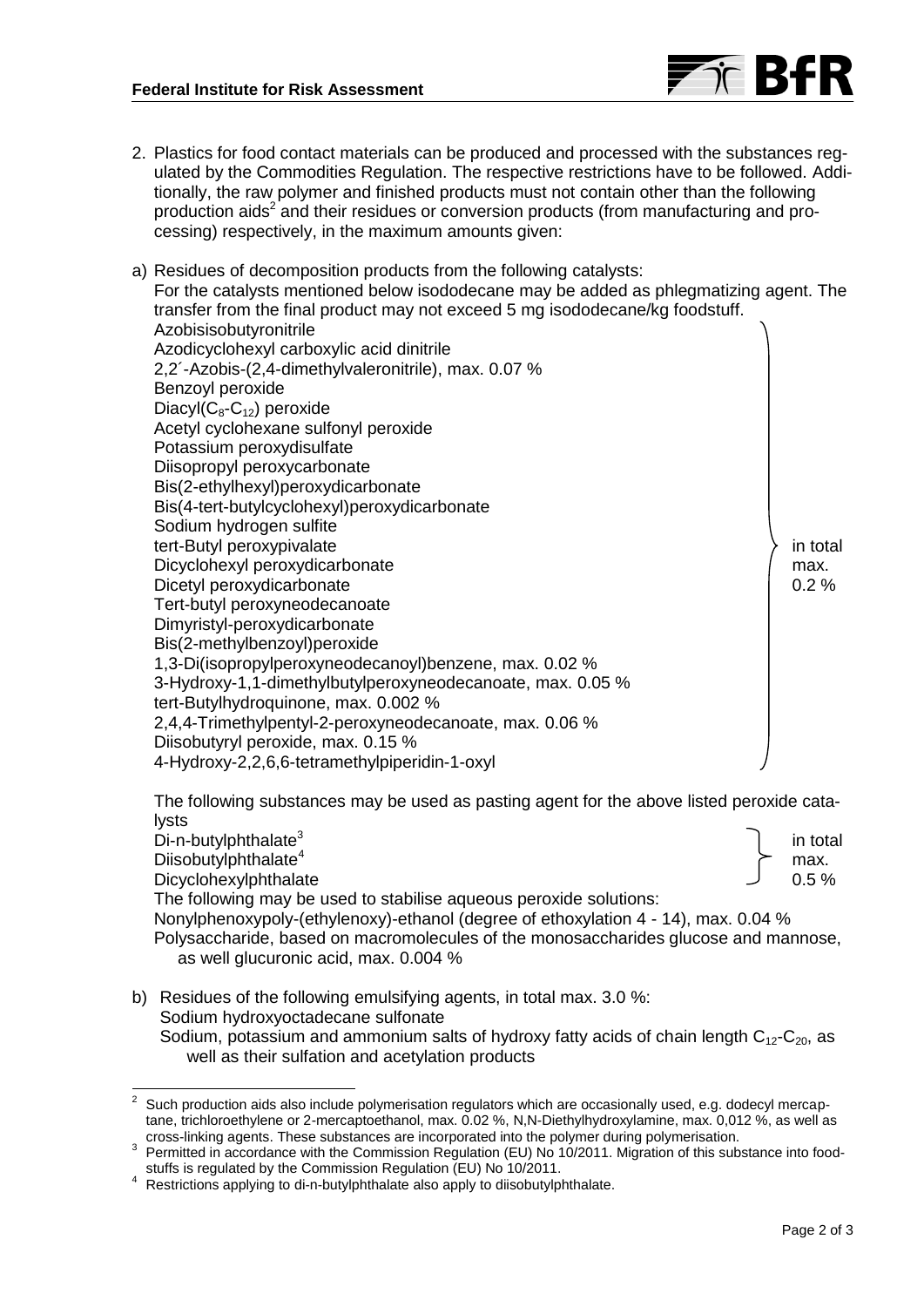

2. Plastics for food contact materials can be produced and processed with the substances regulated by the Commodities Regulation. The respective restrictions have to be followed. Additionally, the raw polymer and finished products must not contain other than the following production aids<sup>2</sup> and their residues or conversion products (from manufacturing and processing) respectively, in the maximum amounts given:



The following substances may be used as pasting agent for the above listed peroxide catalysts  $Di$ -n-butylphthalate $3$ in total Diisobutylphthalate<sup>4</sup> max. Dicyclohexylphthalate  $\Box$  0.5 % The following may be used to stabilise aqueous peroxide solutions: Nonylphenoxypoly-(ethylenoxy)-ethanol (degree of ethoxylation 4 - 14), max. 0.04 % Polysaccharide, based on macromolecules of the monosaccharides glucose and mannose, as well glucuronic acid, max. 0.004 %

b) Residues of the following emulsifying agents, in total max. 3.0 %: Sodium hydroxyoctadecane sulfonate Sodium, potassium and ammonium salts of hydroxy fatty acids of chain length  $C_{12}$ - $C_{20}$ , as well as their sulfation and acetylation products

 $\frac{1}{2}$ Such production aids also include polymerisation regulators which are occasionally used, e.g. dodecyl mercaptane, trichloroethylene or 2-mercaptoethanol, max. 0.02 %, N,N-Diethylhydroxylamine, max. 0,012 %, as well as cross-linking agents. These substances are incorporated into the polymer during polymerisation.

<sup>3</sup> Permitted in accordance with the Commission Regulation (EU) No 10/2011. Migration of this substance into foodstuffs is regulated by the Commission Regulation (EU) No 10/2011.

<sup>4</sup> Restrictions applying to di-n-butylphthalate also apply to diisobutylphthalate.